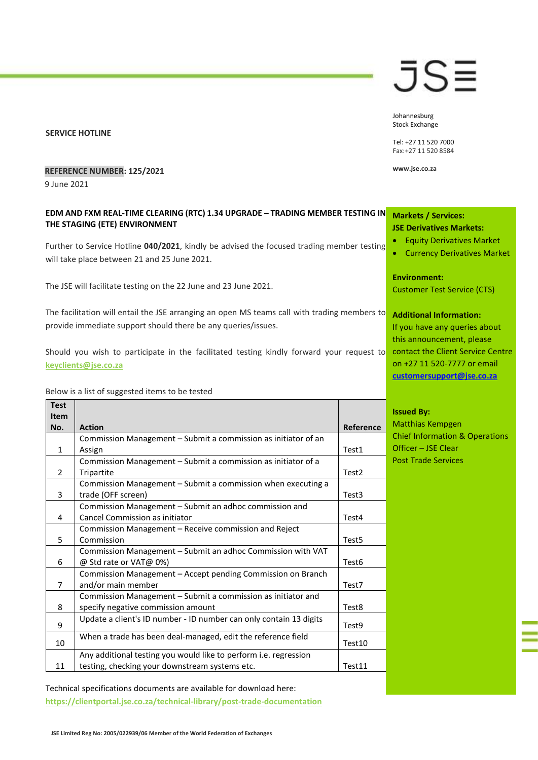#### **SERVICE HOTLINE**

# JS≣

Johannesburg Stock Exchange

Tel: +27 11 520 7000 Fax:+27 11 520 8584

**www.jse.co.za**

### **REFERENCE NUMBER: 125/2021**

9 June 2021

# **EDM AND FXM REAL-TIME CLEARING (RTC) 1.34 UPGRADE – TRADING MEMBER TESTING IN THE STAGING (ETE) ENVIRONMENT**

Further to Service Hotline **040/2021**, kindly be advised the focused trading member testing will take place between 21 and 25 June 2021.

The JSE will facilitate testing on the 22 June and 23 June 2021.

The facilitation will entail the JSE arranging an open MS teams call with trading members to provide immediate support should there be any queries/issues.

Should you wish to participate in the facilitated testing kindly forward your request to **[keyclients@jse.co.za](mailto:keyclients@jse.co.za)**

Below is a list of suggested items to be tested

| <b>Test</b><br><b>Item</b> |                                                                    |                   |
|----------------------------|--------------------------------------------------------------------|-------------------|
| No.                        | <b>Action</b>                                                      | Reference         |
|                            | Commission Management - Submit a commission as initiator of an     |                   |
| 1                          | Assign                                                             | Test1             |
|                            | Commission Management - Submit a commission as initiator of a      |                   |
| 2                          | Tripartite                                                         | Test <sub>2</sub> |
|                            | Commission Management – Submit a commission when executing a       |                   |
| 3                          | trade (OFF screen)                                                 | Test3             |
|                            | Commission Management - Submit an adhoc commission and             |                   |
| 4                          | Cancel Commission as initiator                                     | Test4             |
|                            | Commission Management – Receive commission and Reject              |                   |
| 5                          | Commission                                                         | Test <sub>5</sub> |
|                            | Commission Management - Submit an adhoc Commission with VAT        |                   |
| 6                          | @ Std rate or VAT@ 0%)                                             | Test <sub>6</sub> |
|                            | Commission Management - Accept pending Commission on Branch        |                   |
| $\overline{7}$             | and/or main member                                                 | Test7             |
|                            | Commission Management - Submit a commission as initiator and       |                   |
| 8                          | specify negative commission amount                                 | Test8             |
| 9                          | Update a client's ID number - ID number can only contain 13 digits | Test9             |
| 10                         | When a trade has been deal-managed, edit the reference field       | Test10            |
|                            | Any additional testing you would like to perform i.e. regression   |                   |
| 11                         | testing, checking your downstream systems etc.                     | Test11            |

Technical specifications documents are available for download here: **<https://clientportal.jse.co.za/technical-library/post-trade-documentation>**

## **Markets / Services: JSE Derivatives Markets:**

- Equity Derivatives Market
- Currency Derivatives Market

**Environment:**

Customer Test Service (CTS)

#### **Additional Information:**

If you have any queries about this announcement, please contact the Client Service Centre on +27 11 520-7777 or email **[customersupport@jse.co.za](mailto:customersupport@jse.co.za)**

**Issued By:** Matthias Kempgen Chief Information & Operations Officer – JSE Clear Post Trade Services